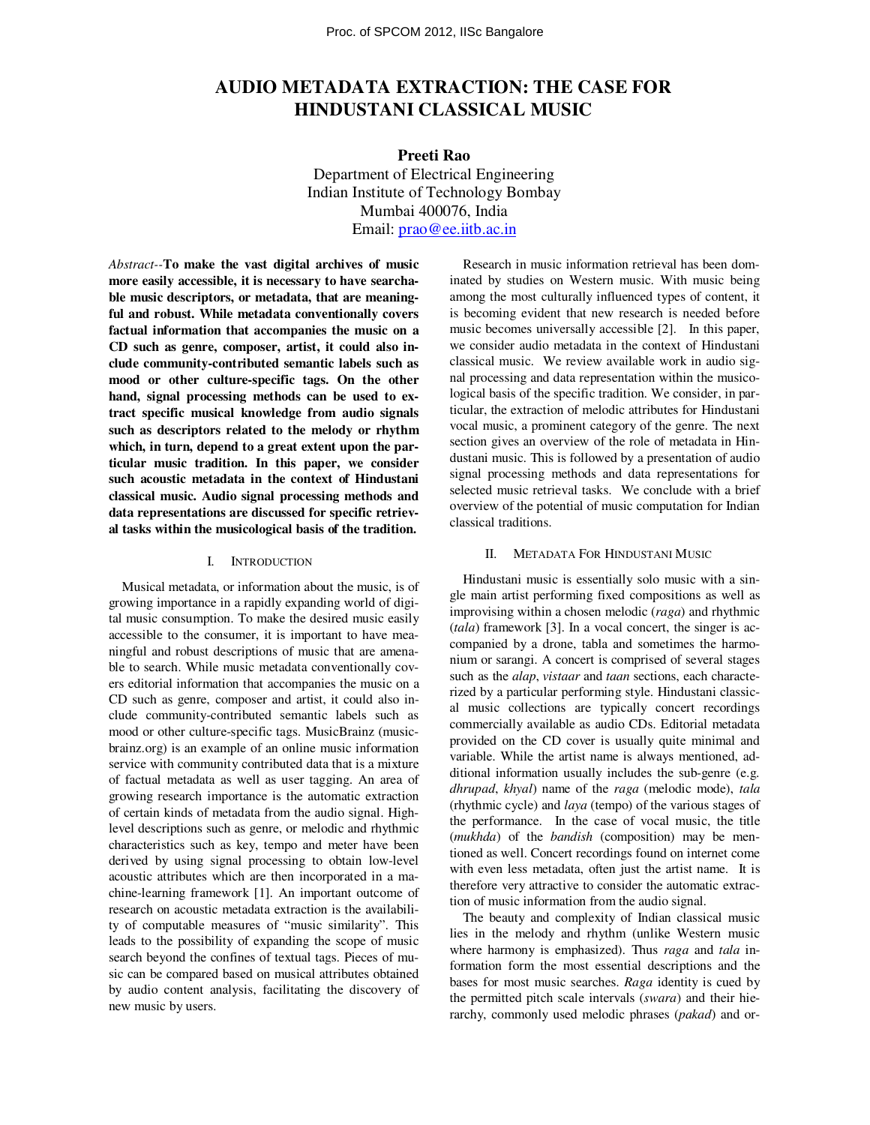# **AUDIO METADATA EXTRACTION: THE CASE FOR HINDUSTANI CLASSICAL MUSIC**

**Preeti Rao**  Department of Electrical Engineering Indian Institute of Technology Bombay Mumbai 400076, India Email: prao@ee.iitb.ac.in

*Abstract--***To make the vast digital archives of music more easily accessible, it is necessary to have searchable music descriptors, or metadata, that are meaningful and robust. While metadata conventionally covers factual information that accompanies the music on a CD such as genre, composer, artist, it could also include community-contributed semantic labels such as mood or other culture-specific tags. On the other hand, signal processing methods can be used to extract specific musical knowledge from audio signals such as descriptors related to the melody or rhythm which, in turn, depend to a great extent upon the particular music tradition. In this paper, we consider such acoustic metadata in the context of Hindustani classical music. Audio signal processing methods and data representations are discussed for specific retrieval tasks within the musicological basis of the tradition.**

### I. INTRODUCTION

Musical metadata, or information about the music, is of growing importance in a rapidly expanding world of digital music consumption. To make the desired music easily accessible to the consumer, it is important to have meaningful and robust descriptions of music that are amenable to search. While music metadata conventionally covers editorial information that accompanies the music on a CD such as genre, composer and artist, it could also include community-contributed semantic labels such as mood or other culture-specific tags. MusicBrainz (musicbrainz.org) is an example of an online music information service with community contributed data that is a mixture of factual metadata as well as user tagging. An area of growing research importance is the automatic extraction of certain kinds of metadata from the audio signal. Highlevel descriptions such as genre, or melodic and rhythmic characteristics such as key, tempo and meter have been derived by using signal processing to obtain low-level acoustic attributes which are then incorporated in a machine-learning framework [1]. An important outcome of research on acoustic metadata extraction is the availability of computable measures of "music similarity". This leads to the possibility of expanding the scope of music search beyond the confines of textual tags. Pieces of music can be compared based on musical attributes obtained by audio content analysis, facilitating the discovery of new music by users.

Research in music information retrieval has been dominated by studies on Western music. With music being among the most culturally influenced types of content, it is becoming evident that new research is needed before music becomes universally accessible [2]. In this paper, we consider audio metadata in the context of Hindustani classical music. We review available work in audio signal processing and data representation within the musicological basis of the specific tradition. We consider, in particular, the extraction of melodic attributes for Hindustani vocal music, a prominent category of the genre. The next section gives an overview of the role of metadata in Hindustani music. This is followed by a presentation of audio signal processing methods and data representations for selected music retrieval tasks. We conclude with a brief overview of the potential of music computation for Indian classical traditions.

# II. METADATA FOR HINDUSTANI MUSIC

Hindustani music is essentially solo music with a single main artist performing fixed compositions as well as improvising within a chosen melodic (*raga*) and rhythmic (*tala*) framework [3]. In a vocal concert, the singer is accompanied by a drone, tabla and sometimes the harmonium or sarangi. A concert is comprised of several stages such as the *alap*, *vistaar* and *taan* sections, each characterized by a particular performing style. Hindustani classical music collections are typically concert recordings commercially available as audio CDs. Editorial metadata provided on the CD cover is usually quite minimal and variable. While the artist name is always mentioned, additional information usually includes the sub-genre (e.g. *dhrupad*, *khyal*) name of the *raga* (melodic mode), *tala* (rhythmic cycle) and *laya* (tempo) of the various stages of the performance. In the case of vocal music, the title (*mukhda*) of the *bandish* (composition) may be mentioned as well. Concert recordings found on internet come with even less metadata, often just the artist name. It is therefore very attractive to consider the automatic extraction of music information from the audio signal.

The beauty and complexity of Indian classical music lies in the melody and rhythm (unlike Western music where harmony is emphasized). Thus *raga* and *tala* information form the most essential descriptions and the bases for most music searches. *Raga* identity is cued by the permitted pitch scale intervals (*swara*) and their hierarchy, commonly used melodic phrases (*pakad*) and or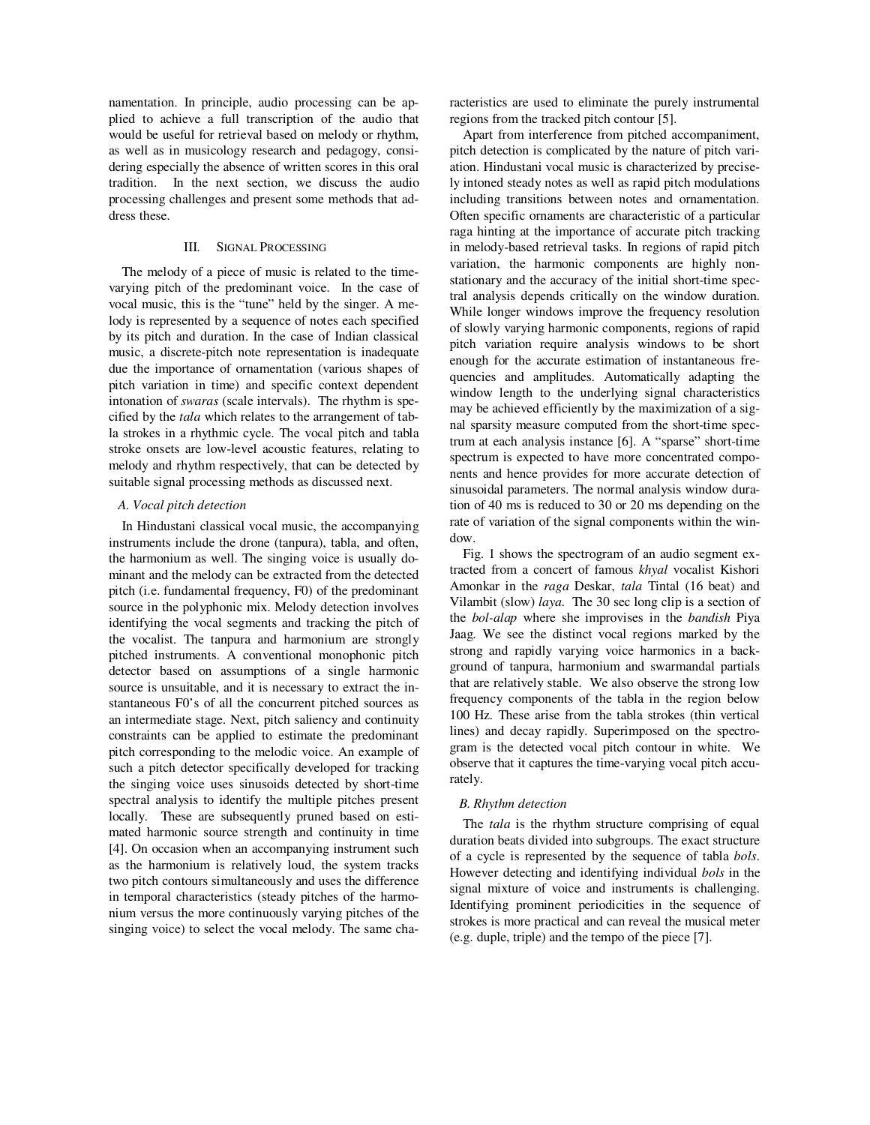namentation. In principle, audio processing can be applied to achieve a full transcription of the audio that would be useful for retrieval based on melody or rhythm, as well as in musicology research and pedagogy, considering especially the absence of written scores in this oral tradition. In the next section, we discuss the audio processing challenges and present some methods that address these.

#### III. SIGNAL PROCESSING

The melody of a piece of music is related to the timevarying pitch of the predominant voice. In the case of vocal music, this is the "tune" held by the singer. A melody is represented by a sequence of notes each specified by its pitch and duration. In the case of Indian classical music, a discrete-pitch note representation is inadequate due the importance of ornamentation (various shapes of pitch variation in time) and specific context dependent intonation of *swaras* (scale intervals). The rhythm is specified by the *tala* which relates to the arrangement of tabla strokes in a rhythmic cycle. The vocal pitch and tabla stroke onsets are low-level acoustic features, relating to melody and rhythm respectively, that can be detected by suitable signal processing methods as discussed next.

## *A. Vocal pitch detection*

In Hindustani classical vocal music, the accompanying instruments include the drone (tanpura), tabla, and often, the harmonium as well. The singing voice is usually dominant and the melody can be extracted from the detected pitch (i.e. fundamental frequency, F0) of the predominant source in the polyphonic mix. Melody detection involves identifying the vocal segments and tracking the pitch of the vocalist. The tanpura and harmonium are strongly pitched instruments. A conventional monophonic pitch detector based on assumptions of a single harmonic source is unsuitable, and it is necessary to extract the instantaneous F0's of all the concurrent pitched sources as an intermediate stage. Next, pitch saliency and continuity constraints can be applied to estimate the predominant pitch corresponding to the melodic voice. An example of such a pitch detector specifically developed for tracking the singing voice uses sinusoids detected by short-time spectral analysis to identify the multiple pitches present locally. These are subsequently pruned based on estimated harmonic source strength and continuity in time [4]. On occasion when an accompanying instrument such as the harmonium is relatively loud, the system tracks two pitch contours simultaneously and uses the difference in temporal characteristics (steady pitches of the harmonium versus the more continuously varying pitches of the singing voice) to select the vocal melody. The same characteristics are used to eliminate the purely instrumental regions from the tracked pitch contour [5].

Apart from interference from pitched accompaniment, pitch detection is complicated by the nature of pitch variation. Hindustani vocal music is characterized by precisely intoned steady notes as well as rapid pitch modulations including transitions between notes and ornamentation. Often specific ornaments are characteristic of a particular raga hinting at the importance of accurate pitch tracking in melody-based retrieval tasks. In regions of rapid pitch variation, the harmonic components are highly nonstationary and the accuracy of the initial short-time spectral analysis depends critically on the window duration. While longer windows improve the frequency resolution of slowly varying harmonic components, regions of rapid pitch variation require analysis windows to be short enough for the accurate estimation of instantaneous frequencies and amplitudes. Automatically adapting the window length to the underlying signal characteristics may be achieved efficiently by the maximization of a signal sparsity measure computed from the short-time spectrum at each analysis instance [6]. A "sparse" short-time spectrum is expected to have more concentrated components and hence provides for more accurate detection of sinusoidal parameters. The normal analysis window duration of 40 ms is reduced to 30 or 20 ms depending on the rate of variation of the signal components within the window.

Fig. 1 shows the spectrogram of an audio segment extracted from a concert of famous *khyal* vocalist Kishori Amonkar in the *raga* Deskar, *tala* Tintal (16 beat) and Vilambit (slow) *laya*. The 30 sec long clip is a section of the *bol-alap* where she improvises in the *bandish* Piya Jaag. We see the distinct vocal regions marked by the strong and rapidly varying voice harmonics in a background of tanpura, harmonium and swarmandal partials that are relatively stable. We also observe the strong low frequency components of the tabla in the region below 100 Hz. These arise from the tabla strokes (thin vertical lines) and decay rapidly. Superimposed on the spectrogram is the detected vocal pitch contour in white. We observe that it captures the time-varying vocal pitch accurately.

## *B. Rhythm detection*

The *tala* is the rhythm structure comprising of equal duration beats divided into subgroups. The exact structure of a cycle is represented by the sequence of tabla *bols*. However detecting and identifying individual *bols* in the signal mixture of voice and instruments is challenging. Identifying prominent periodicities in the sequence of strokes is more practical and can reveal the musical meter (e.g. duple, triple) and the tempo of the piece [7].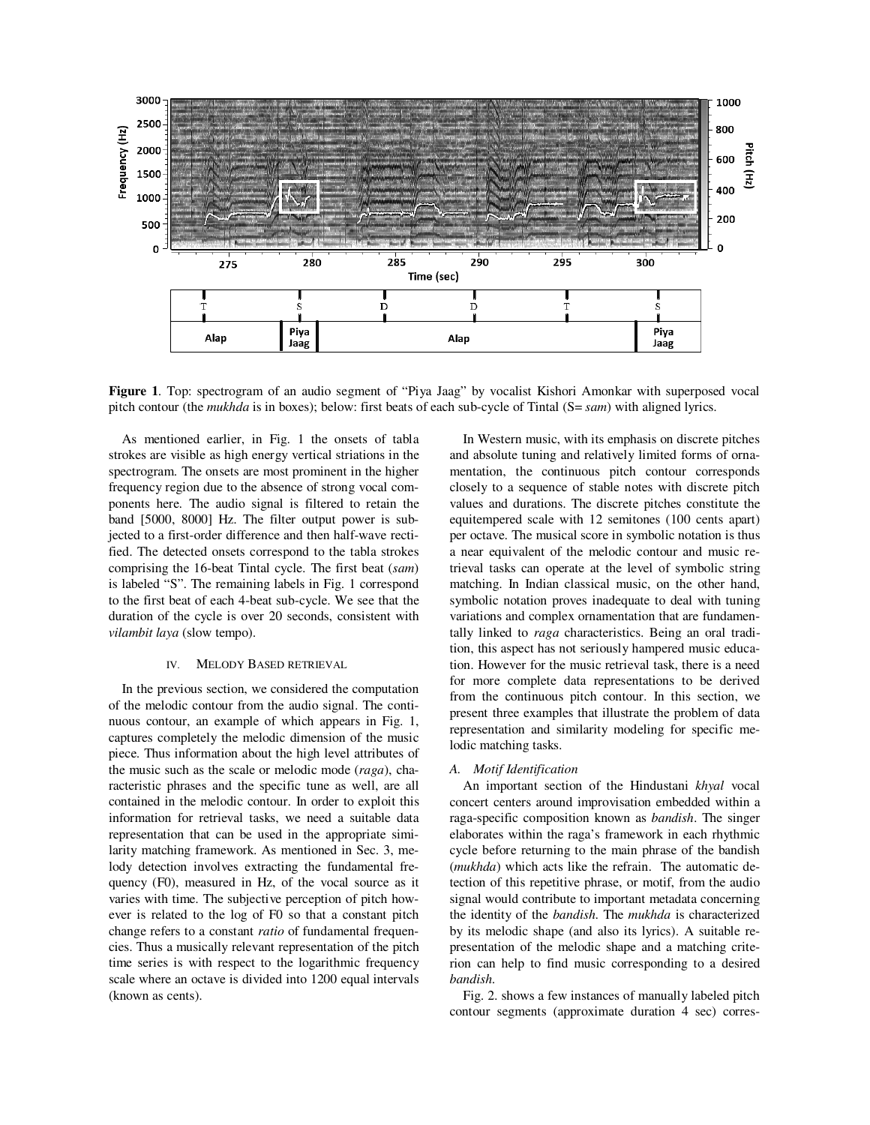

**Figure 1**. Top: spectrogram of an audio segment of "Piya Jaag" by vocalist Kishori Amonkar with superposed vocal pitch contour (the *mukhda* is in boxes); below: first beats of each sub-cycle of Tintal (S= *sam*) with aligned lyrics.

As mentioned earlier, in Fig. 1 the onsets of tabla strokes are visible as high energy vertical striations in the spectrogram. The onsets are most prominent in the higher frequency region due to the absence of strong vocal components here. The audio signal is filtered to retain the band [5000, 8000] Hz. The filter output power is subjected to a first-order difference and then half-wave rectified. The detected onsets correspond to the tabla strokes comprising the 16-beat Tintal cycle. The first beat (*sam*) is labeled "S". The remaining labels in Fig. 1 correspond to the first beat of each 4-beat sub-cycle. We see that the duration of the cycle is over 20 seconds, consistent with *vilambit laya* (slow tempo).

## IV. MELODY BASED RETRIEVAL

In the previous section, we considered the computation of the melodic contour from the audio signal. The continuous contour, an example of which appears in Fig. 1, captures completely the melodic dimension of the music piece. Thus information about the high level attributes of the music such as the scale or melodic mode (*raga*), characteristic phrases and the specific tune as well, are all contained in the melodic contour. In order to exploit this information for retrieval tasks, we need a suitable data representation that can be used in the appropriate similarity matching framework. As mentioned in Sec. 3, melody detection involves extracting the fundamental frequency (F0), measured in Hz, of the vocal source as it varies with time. The subjective perception of pitch however is related to the log of F0 so that a constant pitch change refers to a constant *ratio* of fundamental frequencies. Thus a musically relevant representation of the pitch time series is with respect to the logarithmic frequency scale where an octave is divided into 1200 equal intervals (known as cents).

In Western music, with its emphasis on discrete pitches and absolute tuning and relatively limited forms of ornamentation, the continuous pitch contour corresponds closely to a sequence of stable notes with discrete pitch values and durations. The discrete pitches constitute the equitempered scale with 12 semitones (100 cents apart) per octave. The musical score in symbolic notation is thus a near equivalent of the melodic contour and music retrieval tasks can operate at the level of symbolic string matching. In Indian classical music, on the other hand, symbolic notation proves inadequate to deal with tuning variations and complex ornamentation that are fundamentally linked to *raga* characteristics. Being an oral tradition, this aspect has not seriously hampered music education. However for the music retrieval task, there is a need for more complete data representations to be derived from the continuous pitch contour. In this section, we present three examples that illustrate the problem of data representation and similarity modeling for specific melodic matching tasks.

#### *A. Motif Identification*

An important section of the Hindustani *khyal* vocal concert centers around improvisation embedded within a raga-specific composition known as *bandish*. The singer elaborates within the raga's framework in each rhythmic cycle before returning to the main phrase of the bandish (*mukhda*) which acts like the refrain. The automatic detection of this repetitive phrase, or motif, from the audio signal would contribute to important metadata concerning the identity of the *bandish*. The *mukhda* is characterized by its melodic shape (and also its lyrics). A suitable representation of the melodic shape and a matching criterion can help to find music corresponding to a desired *bandish*.

Fig. 2. shows a few instances of manually labeled pitch contour segments (approximate duration 4 sec) corres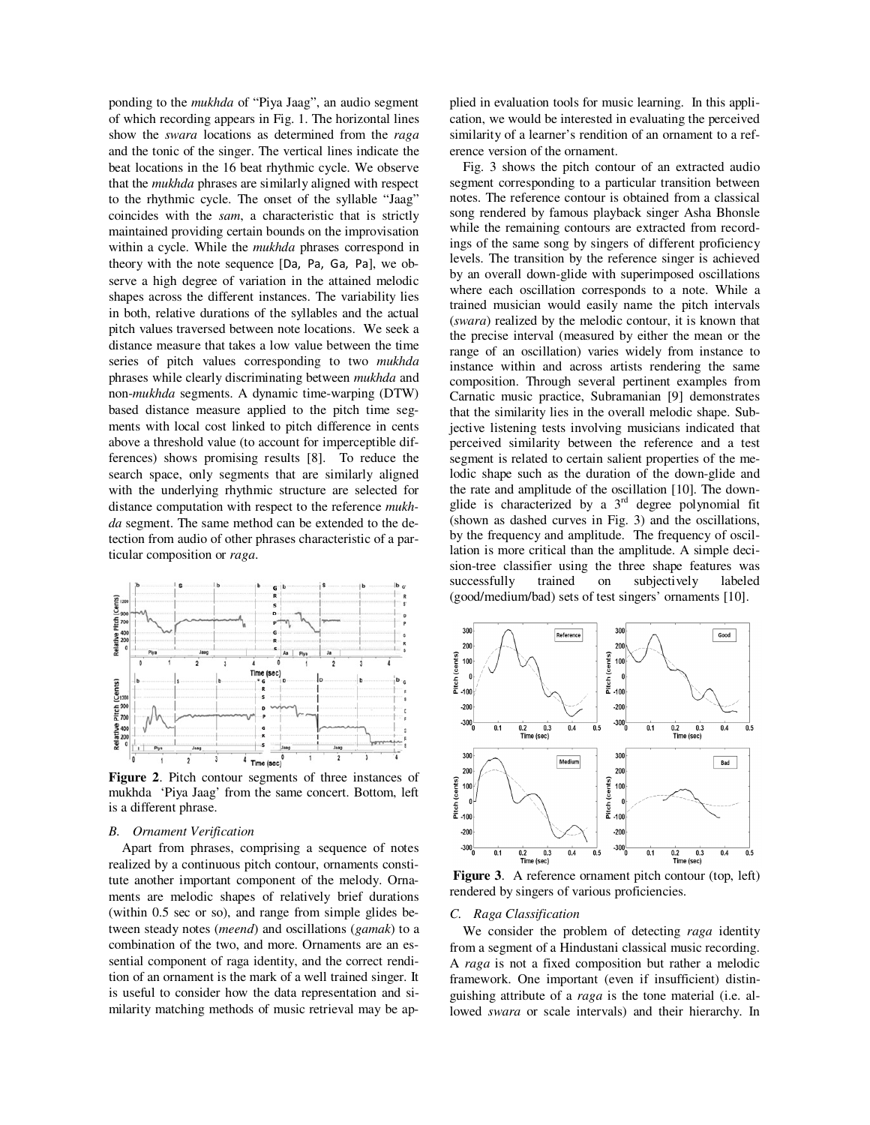ponding to the *mukhda* of "Piya Jaag", an audio segment of which recording appears in Fig. 1. The horizontal lines show the *swara* locations as determined from the *raga* and the tonic of the singer. The vertical lines indicate the beat locations in the 16 beat rhythmic cycle. We observe that the *mukhda* phrases are similarly aligned with respect to the rhythmic cycle. The onset of the syllable "Jaag" coincides with the *sam*, a characteristic that is strictly maintained providing certain bounds on the improvisation within a cycle. While the *mukhda* phrases correspond in theory with the note sequence [Da, Pa, Ga, Pa], we observe a high degree of variation in the attained melodic shapes across the different instances. The variability lies in both, relative durations of the syllables and the actual pitch values traversed between note locations. We seek a distance measure that takes a low value between the time series of pitch values corresponding to two *mukhda* phrases while clearly discriminating between *mukhda* and non-*mukhda* segments. A dynamic time-warping (DTW) based distance measure applied to the pitch time segments with local cost linked to pitch difference in cents above a threshold value (to account for imperceptible differences) shows promising results [8]. To reduce the search space, only segments that are similarly aligned with the underlying rhythmic structure are selected for distance computation with respect to the reference *mukhda* segment. The same method can be extended to the detection from audio of other phrases characteristic of a particular composition or *raga*.



**Figure 2**. Pitch contour segments of three instances of mukhda 'Piya Jaag' from the same concert. Bottom, left is a different phrase.

#### *B. Ornament Verification*

Apart from phrases, comprising a sequence of notes realized by a continuous pitch contour, ornaments constitute another important component of the melody. Ornaments are melodic shapes of relatively brief durations (within 0.5 sec or so), and range from simple glides between steady notes (*meend*) and oscillations (*gamak*) to a combination of the two, and more. Ornaments are an essential component of raga identity, and the correct rendition of an ornament is the mark of a well trained singer. It is useful to consider how the data representation and similarity matching methods of music retrieval may be applied in evaluation tools for music learning. In this application, we would be interested in evaluating the perceived similarity of a learner's rendition of an ornament to a reference version of the ornament.

Fig. 3 shows the pitch contour of an extracted audio segment corresponding to a particular transition between notes. The reference contour is obtained from a classical song rendered by famous playback singer Asha Bhonsle while the remaining contours are extracted from recordings of the same song by singers of different proficiency levels. The transition by the reference singer is achieved by an overall down-glide with superimposed oscillations where each oscillation corresponds to a note. While a trained musician would easily name the pitch intervals (*swara*) realized by the melodic contour, it is known that the precise interval (measured by either the mean or the range of an oscillation) varies widely from instance to instance within and across artists rendering the same composition. Through several pertinent examples from Carnatic music practice, Subramanian [9] demonstrates that the similarity lies in the overall melodic shape. Subjective listening tests involving musicians indicated that perceived similarity between the reference and a test segment is related to certain salient properties of the melodic shape such as the duration of the down-glide and the rate and amplitude of the oscillation [10]. The downglide is characterized by a  $3<sup>rd</sup>$  degree polynomial fit (shown as dashed curves in Fig. 3) and the oscillations, by the frequency and amplitude. The frequency of oscillation is more critical than the amplitude. A simple decision-tree classifier using the three shape features was successfully trained on subjectively labeled (good/medium/bad) sets of test singers' ornaments [10].



 **Figure 3**. A reference ornament pitch contour (top, left) rendered by singers of various proficiencies.

### *C. Raga Classification*

We consider the problem of detecting *raga* identity from a segment of a Hindustani classical music recording. A *raga* is not a fixed composition but rather a melodic framework. One important (even if insufficient) distinguishing attribute of a *raga* is the tone material (i.e. allowed *swara* or scale intervals) and their hierarchy. In